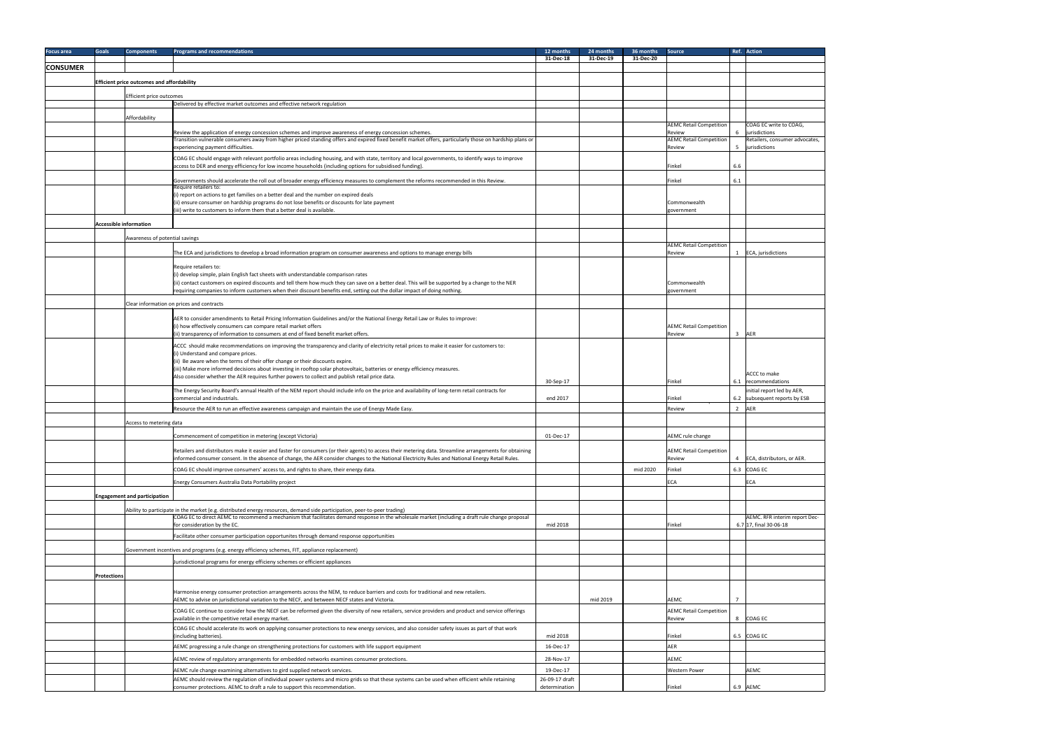| <b>Focus area</b> | <b>Goals</b>       | <b>Components</b>                                 | <b>Programs and recommendations</b>                                                                                                                                                                                                                                           | 12 months                       | 24 months | 36 months | Source                                   | Ref. Action                                                 |
|-------------------|--------------------|---------------------------------------------------|-------------------------------------------------------------------------------------------------------------------------------------------------------------------------------------------------------------------------------------------------------------------------------|---------------------------------|-----------|-----------|------------------------------------------|-------------------------------------------------------------|
|                   |                    |                                                   |                                                                                                                                                                                                                                                                               | 31-Dec-18                       | 31-Dec-19 | 31-Dec-20 |                                          |                                                             |
| <b>CONSUMER</b>   |                    |                                                   |                                                                                                                                                                                                                                                                               |                                 |           |           |                                          |                                                             |
|                   |                    | <b>Efficient price outcomes and affordability</b> |                                                                                                                                                                                                                                                                               |                                 |           |           |                                          |                                                             |
|                   |                    | Efficient price outcomes                          |                                                                                                                                                                                                                                                                               |                                 |           |           |                                          |                                                             |
|                   |                    |                                                   | Delivered by effective market outcomes and effective network regulation                                                                                                                                                                                                       |                                 |           |           |                                          |                                                             |
|                   |                    |                                                   |                                                                                                                                                                                                                                                                               |                                 |           |           |                                          |                                                             |
|                   |                    | Affordability                                     |                                                                                                                                                                                                                                                                               |                                 |           |           | <b>AEMC Retail Competition</b>           | COAG EC write to COAG,                                      |
|                   |                    |                                                   | Review the application of energy concession schemes and improve awareness of energy concession schemes.                                                                                                                                                                       |                                 |           |           | Review                                   | 6 <i>jurisdictions</i>                                      |
|                   |                    |                                                   | Transition vulnerable consumers away from higher priced standing offers and expired fixed benefit market offers, particularly those on hardship plans or<br>experiencing payment difficulties.                                                                                |                                 |           |           | <b>AEMC Retail Competition</b><br>Review | Retailers, consumer advocates,<br>5 <i>jurisdictions</i>    |
|                   |                    |                                                   | COAG EC should engage with relevant portfolio areas including housing, and with state, territory and local governments, to identify ways to improve                                                                                                                           |                                 |           |           |                                          |                                                             |
|                   |                    |                                                   | access to DER and energy efficiency for low income households (including options for subsidised funding).                                                                                                                                                                     |                                 |           |           | Finkel<br>6.6                            |                                                             |
|                   |                    |                                                   |                                                                                                                                                                                                                                                                               |                                 |           |           |                                          |                                                             |
|                   |                    |                                                   | Governments should accelerate the roll out of broader energy efficiency measures to complement the reforms recommended in this Review.<br>Require retailers to:                                                                                                               |                                 |           |           | Finkel<br>6.1                            |                                                             |
|                   |                    |                                                   | (i) report on actions to get families on a better deal and the number on expired deals                                                                                                                                                                                        |                                 |           |           |                                          |                                                             |
|                   |                    |                                                   | (ii) ensure consumer on hardship programs do not lose benefits or discounts for late payment<br>(iii) write to customers to inform them that a better deal is available.                                                                                                      |                                 |           |           | Commonwealth<br>government               |                                                             |
|                   |                    |                                                   |                                                                                                                                                                                                                                                                               |                                 |           |           |                                          |                                                             |
|                   |                    | <b>Accessible information</b>                     |                                                                                                                                                                                                                                                                               |                                 |           |           |                                          |                                                             |
|                   |                    | Awareness of potential savings                    |                                                                                                                                                                                                                                                                               |                                 |           |           |                                          |                                                             |
|                   |                    |                                                   | The ECA and jurisdictions to develop a broad information program on consumer awareness and options to manage energy bills                                                                                                                                                     |                                 |           |           | <b>AEMC Retail Competition</b><br>Review | 1 ECA, jurisdictions                                        |
|                   |                    |                                                   |                                                                                                                                                                                                                                                                               |                                 |           |           |                                          |                                                             |
|                   |                    |                                                   | Require retailers to:                                                                                                                                                                                                                                                         |                                 |           |           |                                          |                                                             |
|                   |                    |                                                   | (i) develop simple, plain English fact sheets with understandable comparison rates<br>(ii) contact customers on expired discounts and tell them how much they can save on a better deal. This will be supported by a change to the NER                                        |                                 |           |           | Commonwealth                             |                                                             |
|                   |                    |                                                   | requiring companies to inform customers when their discount benefits end, setting out the dollar impact of doing nothing.                                                                                                                                                     |                                 |           |           | government                               |                                                             |
|                   |                    |                                                   | Clear information on prices and contracts                                                                                                                                                                                                                                     |                                 |           |           |                                          |                                                             |
|                   |                    |                                                   |                                                                                                                                                                                                                                                                               |                                 |           |           |                                          |                                                             |
|                   |                    |                                                   | AER to consider amendments to Retail Pricing Information Guidelines and/or the National Energy Retail Law or Rules to improve:<br>(i) how effectively consumers can compare retail market offers                                                                              |                                 |           |           | <b>AEMC Retail Competition</b>           |                                                             |
|                   |                    |                                                   | $\vert$ (ii) transparency of information to consumers at end of fixed benefit market offers.                                                                                                                                                                                  |                                 |           |           | 3 <sup>7</sup><br>Review                 | <b>AER</b>                                                  |
|                   |                    |                                                   | ACCC should make recommendations on improving the transparency and clarity of electricity retail prices to make it easier for customers to:                                                                                                                                   |                                 |           |           |                                          |                                                             |
|                   |                    |                                                   | (i) Understand and compare prices.                                                                                                                                                                                                                                            |                                 |           |           |                                          |                                                             |
|                   |                    |                                                   | (ii) Be aware when the terms of their offer change or their discounts expire.<br>(iii) Make more informed decisions about investing in rooftop solar photovoltaic, batteries or energy efficiency measures.                                                                   |                                 |           |           |                                          |                                                             |
|                   |                    |                                                   | Also consider whether the AER requires further powers to collect and publish retail price data.                                                                                                                                                                               |                                 |           |           |                                          | ACCC to make                                                |
|                   |                    |                                                   |                                                                                                                                                                                                                                                                               | 30-Sep-17                       |           |           | Finkel                                   | 6.1 recommendations                                         |
|                   |                    |                                                   | The Energy Security Board's annual Health of the NEM report should include info on the price and availability of long-term retail contracts for<br>commercial and industrials.                                                                                                | end 2017                        |           |           | Finkel                                   | initial report led by AER,<br>6.2 subsequent reports by ESB |
|                   |                    |                                                   | Resource the AER to run an effective awareness campaign and maintain the use of Energy Made Easy.                                                                                                                                                                             |                                 |           |           | <del>competit</del><br>Review            | 2 AER                                                       |
|                   |                    |                                                   |                                                                                                                                                                                                                                                                               |                                 |           |           |                                          |                                                             |
|                   |                    | Access to metering data                           |                                                                                                                                                                                                                                                                               |                                 |           |           |                                          |                                                             |
|                   |                    |                                                   | Commencement of competition in metering (except Victoria)                                                                                                                                                                                                                     | 01-Dec-17                       |           |           | AEMC rule change                         |                                                             |
|                   |                    |                                                   | Retailers and distributors make it easier and faster for consumers (or their agents) to access their metering data. Streamline arrangements for obtaining                                                                                                                     |                                 |           |           | <b>AEMC Retail Competition</b>           |                                                             |
|                   |                    |                                                   | informed consumer consent. In the absence of change, the AER consider changes to the National Electricity Rules and National Energy Retail Rules.                                                                                                                             |                                 |           |           | Review                                   | 4 ECA, distributors, or AER.                                |
|                   |                    |                                                   | COAG EC should improve consumers' access to, and rights to share, their energy data.                                                                                                                                                                                          |                                 |           | mid 2020  | Finkel                                   | 6.3 COAG EC                                                 |
|                   |                    |                                                   | Energy Consumers Australia Data Portability project                                                                                                                                                                                                                           |                                 |           |           | ECA                                      | <b>ECA</b>                                                  |
|                   |                    |                                                   |                                                                                                                                                                                                                                                                               |                                 |           |           |                                          |                                                             |
|                   |                    | <b>Engagement and participation</b>               |                                                                                                                                                                                                                                                                               |                                 |           |           |                                          |                                                             |
|                   |                    |                                                   | Ability to participate in the market (e.g. distributed energy resources, demand side participation, peer-to-peer trading)<br>COAG EC to direct AEMC to recommend a mechanism that facilitates demand response in the wholesale market (including a draft rule change proposal |                                 |           |           |                                          | AEMC. RFR interim report Dec-                               |
|                   |                    |                                                   | for consideration by the EC.                                                                                                                                                                                                                                                  | mid 2018                        |           |           | Finkel                                   | $6.7$ 17, final 30-06-18                                    |
|                   |                    |                                                   | Facilitate other consumer participation opportunites through demand response opportunities                                                                                                                                                                                    |                                 |           |           |                                          |                                                             |
|                   |                    |                                                   |                                                                                                                                                                                                                                                                               |                                 |           |           |                                          |                                                             |
|                   |                    |                                                   | Government incentives and programs (e.g. energy efficiency schemes, FIT, appliance replacement)                                                                                                                                                                               |                                 |           |           |                                          |                                                             |
|                   |                    |                                                   | Jurisdictional programs for energy efficieny schemes or efficient appliances                                                                                                                                                                                                  |                                 |           |           |                                          |                                                             |
|                   | <b>Protections</b> |                                                   |                                                                                                                                                                                                                                                                               |                                 |           |           |                                          |                                                             |
|                   |                    |                                                   | Harmonise energy consumer protection arrangements across the NEM, to reduce barriers and costs for traditional and new retailers.                                                                                                                                             |                                 |           |           |                                          |                                                             |
|                   |                    |                                                   | AEMC to advise on jurisdictional variation to the NECF, and between NECF states and Victoria.                                                                                                                                                                                 |                                 | mid 2019  |           | AEMC<br>$\overline{7}$                   |                                                             |
|                   |                    |                                                   | COAG EC continue to consider how the NECF can be reformed given the diversity of new retailers, service providers and product and service offerings                                                                                                                           |                                 |           |           | <b>AEMC Retail Competition</b>           |                                                             |
|                   |                    |                                                   | available in the competitive retail energy market.                                                                                                                                                                                                                            |                                 |           |           | Review                                   | 8 COAG EC                                                   |
|                   |                    |                                                   | COAG EC should accelerate its work on applying consumer protections to new energy services, and also consider safety issues as part of that work                                                                                                                              |                                 |           |           |                                          |                                                             |
|                   |                    |                                                   | (including batteries).                                                                                                                                                                                                                                                        | mid 2018                        |           |           | Finkel                                   | 6.5 COAG EC                                                 |
|                   |                    |                                                   | AEMC progressing a rule change on strengthening protections for customers with life support equipment                                                                                                                                                                         | 16-Dec-17                       |           |           | AER                                      |                                                             |
|                   |                    |                                                   | AEMC review of regulatory arrangements for embedded networks examines consumer protections.                                                                                                                                                                                   | 28-Nov-17                       |           |           | AEMC                                     |                                                             |
|                   |                    |                                                   | AEMC rule change examining alternatives to gird supplied network services.                                                                                                                                                                                                    | 19-Dec-17                       |           |           | <b>Western Power</b>                     | <b>AEMC</b>                                                 |
|                   |                    |                                                   | AEMC should review the regulation of individual power systems and micro grids so that these systems can be used when efficient while retaining<br>consumer protections. AEMC to draft a rule to support this recommendation.                                                  | 26-09-17 draft<br>determination |           |           |                                          |                                                             |
|                   |                    |                                                   |                                                                                                                                                                                                                                                                               |                                 |           |           | Finkel                                   | 6.9 AEMC                                                    |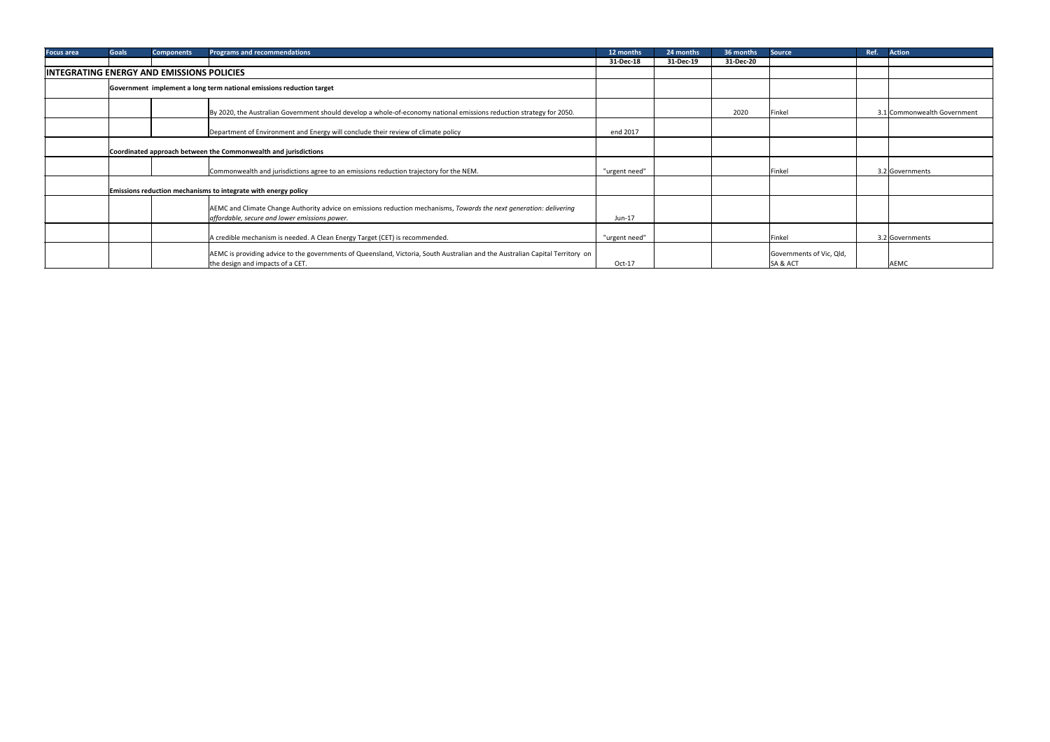| <b>Focus area</b> | <b>Goals</b>                                                         | <b>Components</b>                                | <b>Programs and recommendations</b>                                                                                           | 12 months     | 24 months | 36 months | <b>Source</b>            | <b>Action</b><br>Ref.       |
|-------------------|----------------------------------------------------------------------|--------------------------------------------------|-------------------------------------------------------------------------------------------------------------------------------|---------------|-----------|-----------|--------------------------|-----------------------------|
|                   |                                                                      |                                                  |                                                                                                                               | 31-Dec-18     | 31-Dec-19 | 31-Dec-20 |                          |                             |
|                   |                                                                      | <b>INTEGRATING ENERGY AND EMISSIONS POLICIES</b> |                                                                                                                               |               |           |           |                          |                             |
|                   | Government implement a long term national emissions reduction target |                                                  |                                                                                                                               |               |           |           |                          |                             |
|                   |                                                                      |                                                  | By 2020, the Australian Government should develop a whole-of-economy national emissions reduction strategy for 2050.          |               |           | 2020      | Finkel                   | 3.1 Commonwealth Government |
|                   |                                                                      |                                                  | Department of Environment and Energy will conclude their review of climate policy                                             | end 2017      |           |           |                          |                             |
|                   | Coordinated approach between the Commonwealth and jurisdictions      |                                                  |                                                                                                                               |               |           |           |                          |                             |
|                   |                                                                      |                                                  | Commonwealth and jurisdictions agree to an emissions reduction trajectory for the NEM.                                        | "urgent need" |           |           | Finkel                   | 3.2 Governments             |
|                   |                                                                      |                                                  | Emissions reduction mechanisms to integrate with energy policy                                                                |               |           |           |                          |                             |
|                   |                                                                      |                                                  | AEMC and Climate Change Authority advice on emissions reduction mechanisms, Towards the next generation: delivering           |               |           |           |                          |                             |
|                   |                                                                      |                                                  | affordable, secure and lower emissions power.                                                                                 | Jun-17        |           |           |                          |                             |
|                   |                                                                      |                                                  | A credible mechanism is needed. A Clean Energy Target (CET) is recommended.                                                   | "urgent need" |           |           | Finkel                   | 3.2 Governments             |
|                   |                                                                      |                                                  | AEMC is providing advice to the governments of Queensland, Victoria, South Australian and the Australian Capital Territory on |               |           |           | Governments of Vic, Qld, |                             |
|                   |                                                                      |                                                  | the design and impacts of a CET.                                                                                              | Oct-17        |           |           | SA & ACT                 | AEMC                        |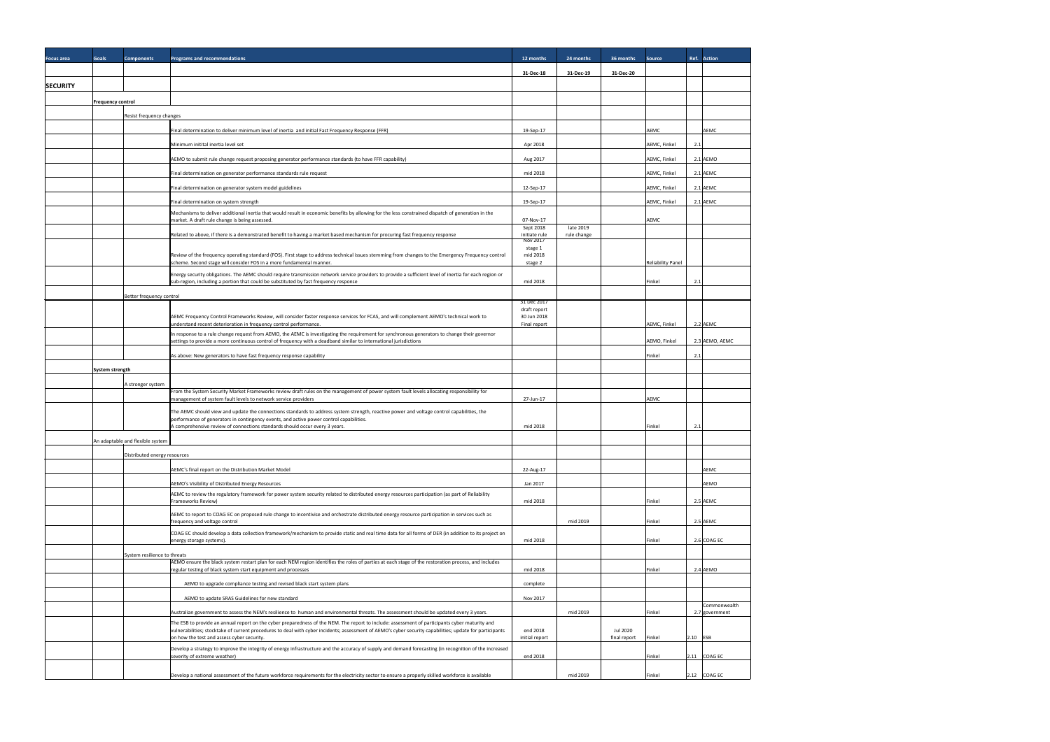| <b>Focus area</b> | <b>Goals</b>             | <b>Components</b>                | Programs and recommendations                                                                                                                                                                                                                                                                               | 12 months                   | 24 months                | 36 months    | Source                   | Ref. Action                    |
|-------------------|--------------------------|----------------------------------|------------------------------------------------------------------------------------------------------------------------------------------------------------------------------------------------------------------------------------------------------------------------------------------------------------|-----------------------------|--------------------------|--------------|--------------------------|--------------------------------|
|                   |                          |                                  |                                                                                                                                                                                                                                                                                                            | 31-Dec-18                   | 31-Dec-19                | 31-Dec-20    |                          |                                |
| <b>SECURITY</b>   |                          |                                  |                                                                                                                                                                                                                                                                                                            |                             |                          |              |                          |                                |
|                   | <b>Frequency control</b> |                                  |                                                                                                                                                                                                                                                                                                            |                             |                          |              |                          |                                |
|                   |                          | Resist frequency changes         |                                                                                                                                                                                                                                                                                                            |                             |                          |              |                          |                                |
|                   |                          |                                  | Final determination to deliver minimum level of inertia and initial Fast Frequency Response (FFR)                                                                                                                                                                                                          | 19-Sep-17                   |                          |              | <b>AEMC</b>              | <b>AEMC</b>                    |
|                   |                          |                                  | Minimum initital inertia level set                                                                                                                                                                                                                                                                         | Apr 2018                    |                          |              | AEMC, Finkel             | 2.1                            |
|                   |                          |                                  | AEMO to submit rule change request proposing generator performance standards (to have FFR capability)                                                                                                                                                                                                      | Aug 2017                    |                          |              | AEMC, Finkel             | 2.1 AEMO                       |
|                   |                          |                                  | Final determination on generator performance standards rule request                                                                                                                                                                                                                                        | mid 2018                    |                          |              | AEMC, Finkel             | $2.1$ AEMC                     |
|                   |                          |                                  | Final determination on generator system model guidelines                                                                                                                                                                                                                                                   | 12-Sep-17                   |                          |              | AEMC, Finkel             | $2.1$ AEMC                     |
|                   |                          |                                  | Final determination on system strength                                                                                                                                                                                                                                                                     | 19-Sep-17                   |                          |              | AEMC, Finkel             | $2.1$ AEMC                     |
|                   |                          |                                  | Mechanisms to deliver additional inertia that would result in economic benefits by allowing for the less constrained dispatch of generation in the<br>market. A draft rule change is being assessed.                                                                                                       | 07-Nov-17                   |                          |              | <b>AEMC</b>              |                                |
|                   |                          |                                  | Related to above, if there is a demonstrated benefit to having a market based mechanism for procuring fast frequency response                                                                                                                                                                              | Sept 2018<br>initiate rule  | late 2019<br>rule change |              |                          |                                |
|                   |                          |                                  |                                                                                                                                                                                                                                                                                                            | Nov 2017<br>stage 1         |                          |              |                          |                                |
|                   |                          |                                  | Review of the frequency operating standard (FOS). First stage to address technical issues stemming from changes to the Emergency Frequency control<br>scheme. Second stage will consider FOS in a more fundamental manner.                                                                                 | mid 2018<br>stage 2         |                          |              | <b>Reliability Panel</b> |                                |
|                   |                          |                                  | Energy security obligations. The AEMC should require transmission network service providers to provide a sufficient level of inertia for each region or                                                                                                                                                    |                             |                          |              |                          |                                |
|                   |                          |                                  | sub-region, including a portion that could be substituted by fast frequency response                                                                                                                                                                                                                       | mid 2018                    |                          |              | Finkel                   | 2.1                            |
|                   |                          | Better frequency control         |                                                                                                                                                                                                                                                                                                            | 31 Dec 2017<br>draft report |                          |              |                          |                                |
|                   |                          |                                  | AEMC Frequency Control Frameworks Review, will consider faster response services for FCAS, and will complement AEMO's technical work to<br>understand recent deterioration in frequency control performance.                                                                                               | 30 Jun 2018<br>Final report |                          |              | AEMC, Finkel             | 2.2 AEMC                       |
|                   |                          |                                  | In response to a rule change request from AEMO, the AEMC is investigating the requirement for synchronous generators to change their governor                                                                                                                                                              |                             |                          |              |                          |                                |
|                   |                          |                                  | settings to provide a more continuous control of frequency with a deadband similar to international jurisdictions                                                                                                                                                                                          |                             |                          |              | AEMO, Finkel             | 2.3 AEMO, AEMC                 |
|                   |                          |                                  | As above: New generators to have fast frequency response capability                                                                                                                                                                                                                                        |                             |                          |              | Finkel                   | 2.1                            |
|                   | System strength          |                                  |                                                                                                                                                                                                                                                                                                            |                             |                          |              |                          |                                |
|                   |                          | A stronger system                | From the System Security Market Frameworks review draft rules on the management of power system fault levels allocating responsibility for<br>management of system fault levels to network service providers                                                                                               | 27-Jun-17                   |                          |              | AEMC                     |                                |
|                   |                          |                                  | The AEMC should view and update the connections standards to address system strength, reactive power and voltage control capabilities, the                                                                                                                                                                 |                             |                          |              |                          |                                |
|                   |                          |                                  | performance of generators in contingency events, and active power control capabilities.<br>A comprehensive review of connections standards should occur every 3 years.                                                                                                                                     | mid 2018                    |                          |              | Finkel                   | 2.1                            |
|                   |                          | An adaptable and flexible system |                                                                                                                                                                                                                                                                                                            |                             |                          |              |                          |                                |
|                   |                          | Distributed energy resources     |                                                                                                                                                                                                                                                                                                            |                             |                          |              |                          |                                |
|                   |                          |                                  | AEMC's final report on the Distribution Market Model                                                                                                                                                                                                                                                       | 22-Aug-17                   |                          |              |                          | AEMC                           |
|                   |                          |                                  | AEMO's Visibility of Distributed Energy Resources                                                                                                                                                                                                                                                          | Jan 2017                    |                          |              |                          | <b>AEMO</b>                    |
|                   |                          |                                  | AEMC to review the regulatory framework for power system security related to distributed energy resources participation (as part of Reliability<br>Frameworks Review)                                                                                                                                      | mid 2018                    |                          |              | Finkel                   | 2.5 AEMC                       |
|                   |                          |                                  | AEMC to report to COAG EC on proposed rule change to incentivise and orchestrate distributed energy resource participation in services such as                                                                                                                                                             |                             |                          |              |                          |                                |
|                   |                          |                                  | frequency and voltage control                                                                                                                                                                                                                                                                              |                             | mid 2019                 |              | Finkel                   | 2.5 AEMC                       |
|                   |                          |                                  | COAG EC should develop a data collection framework/mechanism to provide static and real time data for all forms of DER (in addition to its project on<br>energy storage systems).                                                                                                                          | mid 2018                    |                          |              | Finkel                   | $2.6$ COAG EC                  |
|                   |                          | System resilience to threats     |                                                                                                                                                                                                                                                                                                            |                             |                          |              |                          |                                |
|                   |                          |                                  | AEMO ensure the black system restart plan for each NEM region identifies the roles of parties at each stage of the restoration process, and includes<br>regular testing of black system start equipment and processes                                                                                      | mid 2018                    |                          |              | Finkel                   | $2.4$ AEMO                     |
|                   |                          |                                  | AEMO to upgrade compliance testing and revised black start system plans                                                                                                                                                                                                                                    | complete                    |                          |              |                          |                                |
|                   |                          |                                  | AEMO to update SRAS Guidelines for new standard                                                                                                                                                                                                                                                            | Nov 2017                    |                          |              |                          |                                |
|                   |                          |                                  | Australian government to assess the NEM's resilience to human and environmental threats. The assessment should be updated every 3 years.                                                                                                                                                                   |                             | mid 2019                 |              | Finkel                   | Commonwealth<br>2.7 government |
|                   |                          |                                  | The ESB to provide an annual report on the cyber preparedness of the NEM. The report to include: assessment of participants cyber maturity and<br>vulnerabilities; stocktake of current procedures to deal with cyber incidents; assessment of AEMO's cyber security capabilities; update for participants | end 2018                    |                          | Jul 2020     |                          |                                |
|                   |                          |                                  | on how the test and assess cyber security.                                                                                                                                                                                                                                                                 | initial report              |                          | final report | Finkel                   | $2.10$ ESB                     |
|                   |                          |                                  | Develop a strategy to improve the integrity of energy infrastructure and the accuracy of supply and demand forecasting (in recognition of the increased<br>severity of extreme weather)                                                                                                                    | end 2018                    |                          |              | Finkel                   | $2.11$ COAG EC                 |
|                   |                          |                                  | Develop a national assessment of the future workforce requirements for the electricity sector to ensure a properly skilled workforce is available                                                                                                                                                          |                             | mid 2019                 |              | Finkel                   | $2.12$ COAG EC                 |
|                   |                          |                                  |                                                                                                                                                                                                                                                                                                            |                             |                          |              |                          |                                |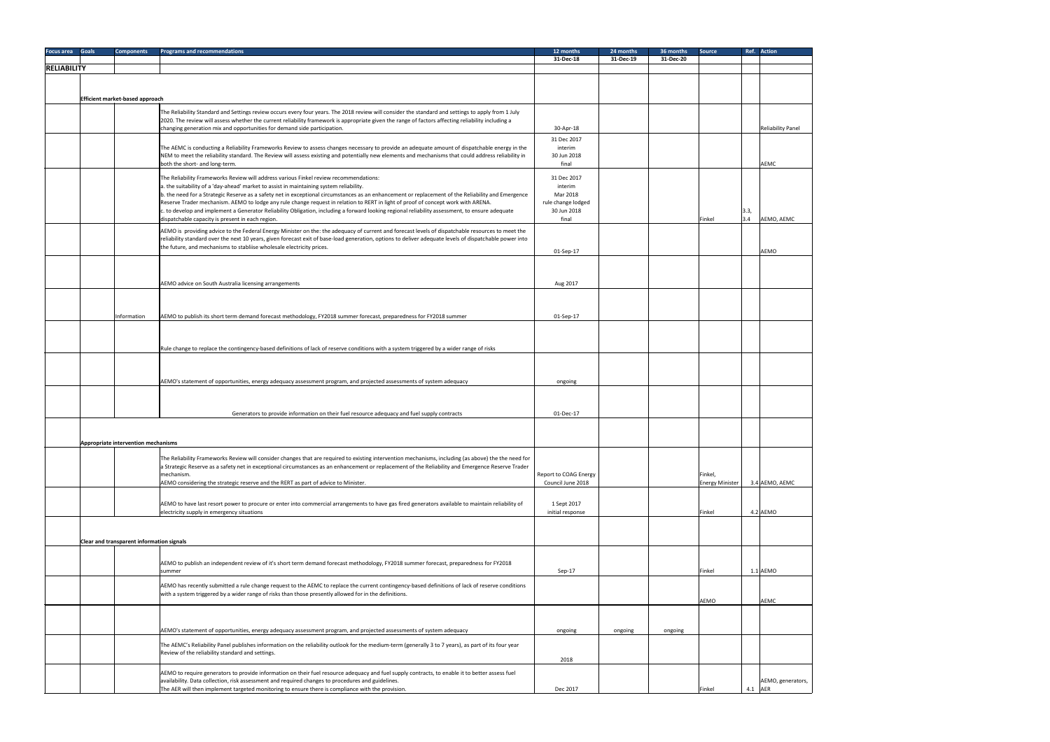| Focus area Goals   | <b>Components</b>                                | <b>Programs and recommendations</b>                                                                                                                                                                                                                                                                       | 12 months             | 24 months | 36 months | <b>Source</b>          |         | Ref. Action              |
|--------------------|--------------------------------------------------|-----------------------------------------------------------------------------------------------------------------------------------------------------------------------------------------------------------------------------------------------------------------------------------------------------------|-----------------------|-----------|-----------|------------------------|---------|--------------------------|
|                    |                                                  |                                                                                                                                                                                                                                                                                                           | 31-Dec-18             | 31-Dec-19 | 31-Dec-20 |                        |         |                          |
| <b>RELIABILITY</b> |                                                  |                                                                                                                                                                                                                                                                                                           |                       |           |           |                        |         |                          |
|                    |                                                  |                                                                                                                                                                                                                                                                                                           |                       |           |           |                        |         |                          |
|                    | <b>Efficient market-based approach</b>           |                                                                                                                                                                                                                                                                                                           |                       |           |           |                        |         |                          |
|                    |                                                  |                                                                                                                                                                                                                                                                                                           |                       |           |           |                        |         |                          |
|                    |                                                  | The Reliability Standard and Settings review occurs every four years. The 2018 review will consider the standard and settings to apply from 1 July<br>2020. The review will assess whether the current reliability framework is appropriate given the range of factors affecting reliability including a  |                       |           |           |                        |         |                          |
|                    |                                                  | changing generation mix and opportunities for demand side participation.                                                                                                                                                                                                                                  | 30-Apr-18             |           |           |                        |         | <b>Reliability Panel</b> |
|                    |                                                  |                                                                                                                                                                                                                                                                                                           | 31 Dec 2017           |           |           |                        |         |                          |
|                    |                                                  | The AEMC is conducting a Reliability Frameworks Review to assess changes necessary to provide an adequate amount of dispatchable energy in the                                                                                                                                                            | interim               |           |           |                        |         |                          |
|                    |                                                  | NEM to meet the reliability standard. The Review will assess existing and potentially new elements and mechanisms that could address reliability in                                                                                                                                                       | 30 Jun 2018           |           |           |                        |         |                          |
|                    |                                                  | both the short- and long-term.                                                                                                                                                                                                                                                                            | final                 |           |           |                        |         | AEMC                     |
|                    |                                                  | The Reliability Frameworks Review will address various Finkel review recommendations:                                                                                                                                                                                                                     | 31 Dec 2017           |           |           |                        |         |                          |
|                    |                                                  | a. the suitability of a 'day-ahead' market to assist in maintaining system reliability.<br>b. the need for a Strategic Reserve as a safety net in exceptional circumstances as an enhancement or replacement of the Reliability and Emergence                                                             | interim<br>Mar 2018   |           |           |                        |         |                          |
|                    |                                                  | Reserve Trader mechanism. AEMO to lodge any rule change request in relation to RERT in light of proof of concept work with ARENA.                                                                                                                                                                         | rule change lodged    |           |           |                        |         |                          |
|                    |                                                  | c. to develop and implement a Generator Reliability Obligation, including a forward looking regional reliability assessment, to ensure adequate                                                                                                                                                           | 30 Jun 2018           |           |           |                        | 3.3,    |                          |
|                    |                                                  | dispatchable capacity is present in each region.                                                                                                                                                                                                                                                          | final                 |           |           | Finkel                 | 3.4     | AEMO, AEMC               |
|                    |                                                  | AEMO is providing advice to the Federal Energy Minister on the: the adequacy of current and forecast levels of dispatchable resources to meet the                                                                                                                                                         |                       |           |           |                        |         |                          |
|                    |                                                  | reliability standard over the next 10 years, given forecast exit of base-load generation, options to deliver adequate levels of dispatchable power into                                                                                                                                                   |                       |           |           |                        |         |                          |
|                    |                                                  | the future, and mechanisms to stabliise wholesale electricity prices.                                                                                                                                                                                                                                     | 01-Sep-17             |           |           |                        |         | <b>AEMO</b>              |
|                    |                                                  |                                                                                                                                                                                                                                                                                                           |                       |           |           |                        |         |                          |
|                    |                                                  |                                                                                                                                                                                                                                                                                                           |                       |           |           |                        |         |                          |
|                    |                                                  | AEMO advice on South Australia licensing arrangements                                                                                                                                                                                                                                                     | Aug 2017              |           |           |                        |         |                          |
|                    |                                                  |                                                                                                                                                                                                                                                                                                           |                       |           |           |                        |         |                          |
|                    |                                                  |                                                                                                                                                                                                                                                                                                           |                       |           |           |                        |         |                          |
|                    | Information                                      | AEMO to publish its short term demand forecast methodology, FY2018 summer forecast, preparedness for FY2018 summer                                                                                                                                                                                        | 01-Sep-17             |           |           |                        |         |                          |
|                    |                                                  |                                                                                                                                                                                                                                                                                                           |                       |           |           |                        |         |                          |
|                    |                                                  |                                                                                                                                                                                                                                                                                                           |                       |           |           |                        |         |                          |
|                    |                                                  | Rule change to replace the contingency-based definitions of lack of reserve conditions with a system triggered by a wider range of risks                                                                                                                                                                  |                       |           |           |                        |         |                          |
|                    |                                                  |                                                                                                                                                                                                                                                                                                           |                       |           |           |                        |         |                          |
|                    |                                                  |                                                                                                                                                                                                                                                                                                           |                       |           |           |                        |         |                          |
|                    |                                                  | AEMO's statement of opportunities, energy adequacy assessment program, and projected assessments of system adequacy                                                                                                                                                                                       | ongoing               |           |           |                        |         |                          |
|                    |                                                  |                                                                                                                                                                                                                                                                                                           |                       |           |           |                        |         |                          |
|                    |                                                  |                                                                                                                                                                                                                                                                                                           |                       |           |           |                        |         |                          |
|                    |                                                  | Generators to provide information on their fuel resource adequacy and fuel supply contracts                                                                                                                                                                                                               | 01-Dec-17             |           |           |                        |         |                          |
|                    |                                                  |                                                                                                                                                                                                                                                                                                           |                       |           |           |                        |         |                          |
|                    |                                                  |                                                                                                                                                                                                                                                                                                           |                       |           |           |                        |         |                          |
|                    | Appropriate intervention mechanisms              |                                                                                                                                                                                                                                                                                                           |                       |           |           |                        |         |                          |
|                    |                                                  |                                                                                                                                                                                                                                                                                                           |                       |           |           |                        |         |                          |
|                    |                                                  | The Reliability Frameworks Review will consider changes that are required to existing intervention mechanisms, including (as above) the the need for<br>a Strategic Reserve as a safety net in exceptional circumstances as an enhancement or replacement of the Reliability and Emergence Reserve Trader |                       |           |           |                        |         |                          |
|                    |                                                  | mechanism.                                                                                                                                                                                                                                                                                                | Report to COAG Energy |           |           | Finkel,                |         |                          |
|                    |                                                  | AEMO considering the strategic reserve and the RERT as part of advice to Minister.                                                                                                                                                                                                                        | Council June 2018     |           |           | <b>Energy Minister</b> |         | 3.4 AEMO, AEMC           |
|                    |                                                  |                                                                                                                                                                                                                                                                                                           |                       |           |           |                        |         |                          |
|                    |                                                  | AEMO to have last resort power to procure or enter into commercial arrangements to have gas fired generators available to maintain reliability of                                                                                                                                                         | 1 Sept 2017           |           |           |                        |         |                          |
|                    |                                                  | electricity supply in emergency situations                                                                                                                                                                                                                                                                | initial response      |           |           | Finkel                 |         | $4.2$ AEMO               |
|                    |                                                  |                                                                                                                                                                                                                                                                                                           |                       |           |           |                        |         |                          |
|                    | <b>Clear and transparent information signals</b> |                                                                                                                                                                                                                                                                                                           |                       |           |           |                        |         |                          |
|                    |                                                  |                                                                                                                                                                                                                                                                                                           |                       |           |           |                        |         |                          |
|                    |                                                  | AEMO to publish an independent review of it's short term demand forecast methodology, FY2018 summer forecast, preparedness for FY2018                                                                                                                                                                     |                       |           |           |                        |         |                          |
|                    |                                                  | summer                                                                                                                                                                                                                                                                                                    | Sep-17                |           |           | Finkel                 |         | 1.1 AEMO                 |
|                    |                                                  |                                                                                                                                                                                                                                                                                                           |                       |           |           |                        |         |                          |
|                    |                                                  | AEMO has recently submitted a rule change request to the AEMC to replace the current contingency-based definitions of lack of reserve conditions<br>with a system triggered by a wider range of risks than those presently allowed for in the definitions.                                                |                       |           |           |                        |         |                          |
|                    |                                                  |                                                                                                                                                                                                                                                                                                           |                       |           |           | AEMO                   |         | AEMC                     |
|                    |                                                  |                                                                                                                                                                                                                                                                                                           |                       |           |           |                        |         |                          |
|                    |                                                  |                                                                                                                                                                                                                                                                                                           |                       |           |           |                        |         |                          |
|                    |                                                  | AEMO's statement of opportunities, energy adequacy assessment program, and projected assessments of system adequacy                                                                                                                                                                                       | ongoing               | ongoing   | ongoing   |                        |         |                          |
|                    |                                                  | The AEMC's Reliability Panel publishes information on the reliability outlook for the medium-term (generally 3 to 7 years), as part of its four year                                                                                                                                                      |                       |           |           |                        |         |                          |
|                    |                                                  | Review of the reliability standard and settings.                                                                                                                                                                                                                                                          |                       |           |           |                        |         |                          |
|                    |                                                  |                                                                                                                                                                                                                                                                                                           | 2018                  |           |           |                        |         |                          |
|                    |                                                  | AEMO to require generators to provide information on their fuel resource adequacy and fuel supply contracts, to enable it to better assess fuel                                                                                                                                                           |                       |           |           |                        |         |                          |
|                    |                                                  | availability. Data collection, risk assessment and required changes to procedures and guidelines.                                                                                                                                                                                                         |                       |           |           | Finkel                 | 4.1 AER | AEMO, generators,        |
|                    |                                                  | The AER will then implement targeted monitoring to ensure there is compliance with the provision.                                                                                                                                                                                                         | Dec 2017              |           |           |                        |         |                          |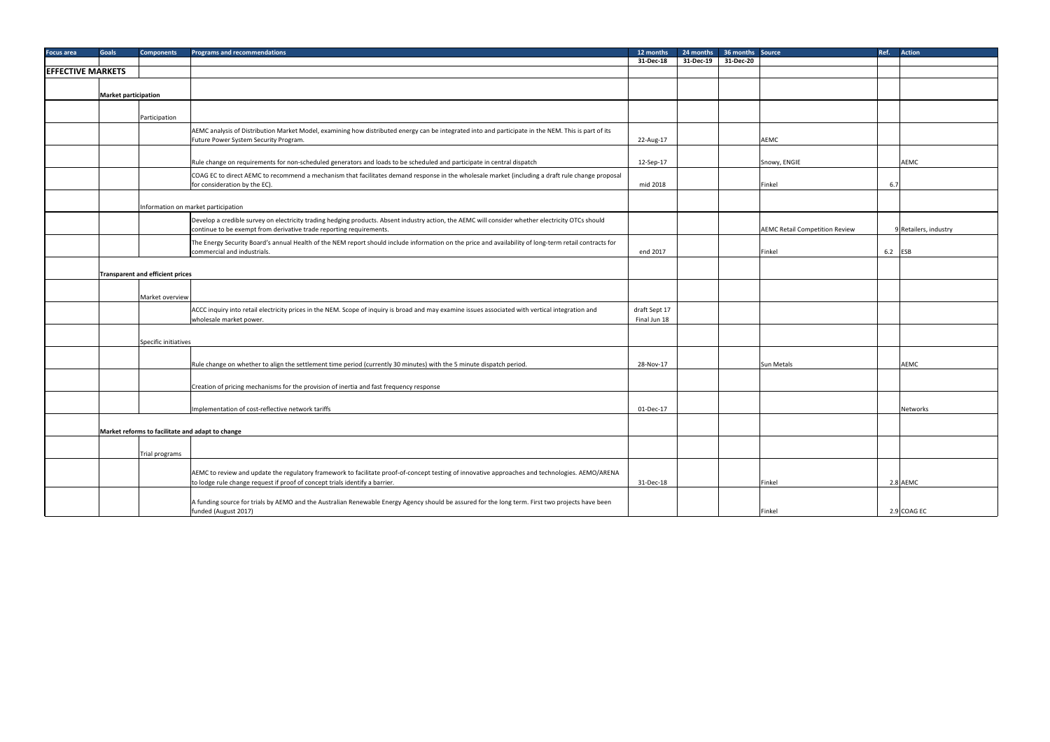| Focus area               | <b>Goals</b>                            | <b>Components</b>    | <b>Programs and recommendations</b>                                                                                                                                               | 12 months     | 24 months | 36 months Source |                                       | Ref. Action           |
|--------------------------|-----------------------------------------|----------------------|-----------------------------------------------------------------------------------------------------------------------------------------------------------------------------------|---------------|-----------|------------------|---------------------------------------|-----------------------|
|                          |                                         |                      |                                                                                                                                                                                   | 31-Dec-18     | 31-Dec-19 | 31-Dec-20        |                                       |                       |
| <b>EFFECTIVE MARKETS</b> |                                         |                      |                                                                                                                                                                                   |               |           |                  |                                       |                       |
|                          |                                         |                      |                                                                                                                                                                                   |               |           |                  |                                       |                       |
|                          | <b>Market participation</b>             |                      |                                                                                                                                                                                   |               |           |                  |                                       |                       |
|                          |                                         |                      |                                                                                                                                                                                   |               |           |                  |                                       |                       |
|                          |                                         |                      |                                                                                                                                                                                   |               |           |                  |                                       |                       |
|                          |                                         | Participation        |                                                                                                                                                                                   |               |           |                  |                                       |                       |
|                          |                                         |                      | AEMC analysis of Distribution Market Model, examining how distributed energy can be integrated into and participate in the NEM. This is part of its                               |               |           |                  |                                       |                       |
|                          |                                         |                      | Future Power System Security Program.                                                                                                                                             | 22-Aug-17     |           |                  | <b>AEMC</b>                           |                       |
|                          |                                         |                      |                                                                                                                                                                                   |               |           |                  |                                       |                       |
|                          |                                         |                      | Rule change on requirements for non-scheduled generators and loads to be scheduled and participate in central dispatch                                                            | 12-Sep-17     |           |                  | Snowy, ENGIE                          | AEMC                  |
|                          |                                         |                      |                                                                                                                                                                                   |               |           |                  |                                       |                       |
|                          |                                         |                      | COAG EC to direct AEMC to recommend a mechanism that facilitates demand response in the wholesale market (including a draft rule change proposal<br>for consideration by the EC). | mid 2018      |           |                  | Finkel                                | 6.7                   |
|                          |                                         |                      |                                                                                                                                                                                   |               |           |                  |                                       |                       |
|                          |                                         |                      |                                                                                                                                                                                   |               |           |                  |                                       |                       |
|                          |                                         |                      | Information on market participation                                                                                                                                               |               |           |                  |                                       |                       |
|                          |                                         |                      | Develop a credible survey on electricity trading hedging products. Absent industry action, the AEMC will consider whether electricity OTCs should                                 |               |           |                  |                                       |                       |
|                          |                                         |                      | continue to be exempt from derivative trade reporting requirements.                                                                                                               |               |           |                  | <b>AEMC Retail Competition Review</b> | 9 Retailers, industry |
|                          |                                         |                      | The Energy Security Board's annual Health of the NEM report should include information on the price and availability of long-term retail contracts for                            |               |           |                  |                                       |                       |
|                          |                                         |                      | commercial and industrials.                                                                                                                                                       | end 2017      |           |                  | Finkel                                | $6.2$ ESB             |
|                          |                                         |                      |                                                                                                                                                                                   |               |           |                  |                                       |                       |
|                          | <b>Transparent and efficient prices</b> |                      |                                                                                                                                                                                   |               |           |                  |                                       |                       |
|                          |                                         |                      |                                                                                                                                                                                   |               |           |                  |                                       |                       |
|                          |                                         |                      |                                                                                                                                                                                   |               |           |                  |                                       |                       |
|                          |                                         | Market overview      |                                                                                                                                                                                   |               |           |                  |                                       |                       |
|                          |                                         |                      | ACCC inquiry into retail electricity prices in the NEM. Scope of inquiry is broad and may examine issues associated with vertical integration and                                 | draft Sept 17 |           |                  |                                       |                       |
|                          |                                         |                      | wholesale market power.                                                                                                                                                           | Final Jun 18  |           |                  |                                       |                       |
|                          |                                         |                      |                                                                                                                                                                                   |               |           |                  |                                       |                       |
|                          |                                         | Specific initiatives |                                                                                                                                                                                   |               |           |                  |                                       |                       |
|                          |                                         |                      |                                                                                                                                                                                   |               |           |                  |                                       |                       |
|                          |                                         |                      | Rule change on whether to align the settlement time period (currently 30 minutes) with the 5 minute dispatch period.                                                              | 28-Nov-17     |           |                  | <b>Sun Metals</b>                     | <b>AEMC</b>           |
|                          |                                         |                      |                                                                                                                                                                                   |               |           |                  |                                       |                       |
|                          |                                         |                      | Creation of pricing mechanisms for the provision of inertia and fast frequency response                                                                                           |               |           |                  |                                       |                       |
|                          |                                         |                      |                                                                                                                                                                                   |               |           |                  |                                       |                       |
|                          |                                         |                      |                                                                                                                                                                                   |               |           |                  |                                       |                       |
|                          |                                         |                      | Implementation of cost-reflective network tariffs                                                                                                                                 | 01-Dec-17     |           |                  |                                       | Networks              |
|                          |                                         |                      |                                                                                                                                                                                   |               |           |                  |                                       |                       |
|                          |                                         |                      | Market reforms to facilitate and adapt to change                                                                                                                                  |               |           |                  |                                       |                       |
|                          |                                         |                      |                                                                                                                                                                                   |               |           |                  |                                       |                       |
|                          |                                         | Trial programs       |                                                                                                                                                                                   |               |           |                  |                                       |                       |
|                          |                                         |                      |                                                                                                                                                                                   |               |           |                  |                                       |                       |
|                          |                                         |                      | AEMC to review and update the regulatory framework to facilitate proof-of-concept testing of innovative approaches and technologies. AEMO/ARENA                                   |               |           |                  |                                       |                       |
|                          |                                         |                      | to lodge rule change request if proof of concept trials identify a barrier.                                                                                                       | 31-Dec-18     |           |                  | Finkel                                | $2.8$ AEMC            |
|                          |                                         |                      |                                                                                                                                                                                   |               |           |                  |                                       |                       |
|                          |                                         |                      | A funding source for trials by AEMO and the Australian Renewable Energy Agency should be assured for the long term. First two projects have been                                  |               |           |                  |                                       |                       |
|                          |                                         |                      | funded (August 2017)                                                                                                                                                              |               |           |                  | Finkel                                | $2.9$ COAG EC         |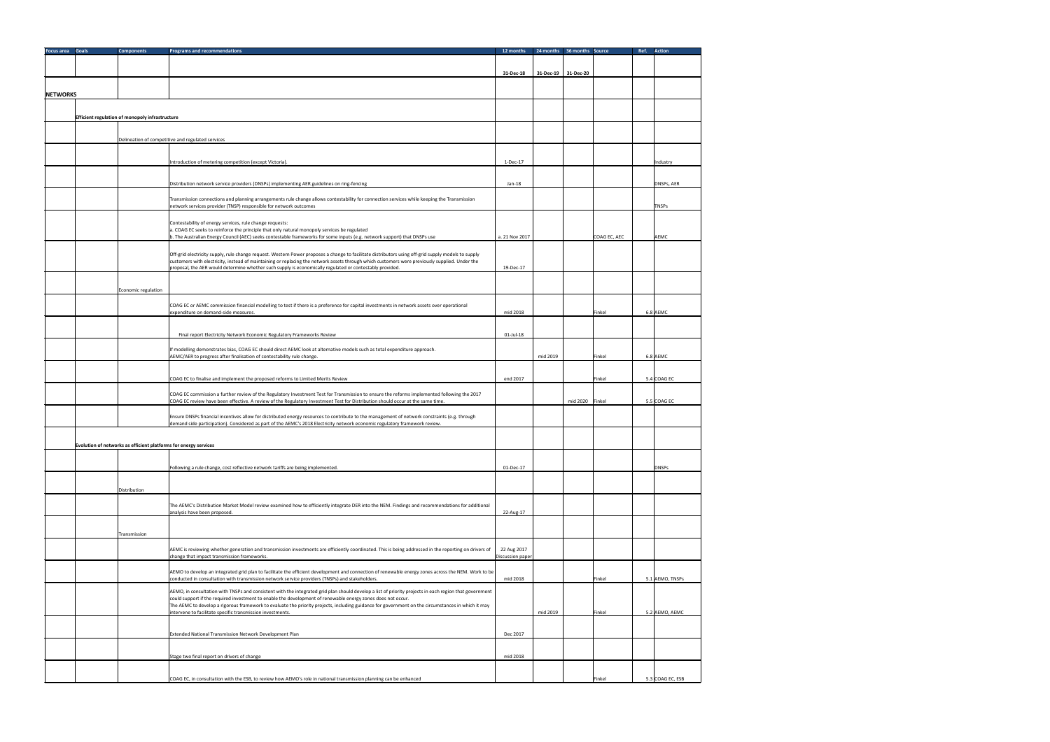| <b>Focus area Goals</b> | <b>Components</b>                               | <b>Programs and recommendations</b>                                                                                                                                                                                                                                | 12 months        |                     | 24 months 36 months Source | Action<br>Ref.   |
|-------------------------|-------------------------------------------------|--------------------------------------------------------------------------------------------------------------------------------------------------------------------------------------------------------------------------------------------------------------------|------------------|---------------------|----------------------------|------------------|
|                         |                                                 |                                                                                                                                                                                                                                                                    |                  |                     |                            |                  |
|                         |                                                 |                                                                                                                                                                                                                                                                    | 31-Dec-18        | 31-Dec-19 31-Dec-20 |                            |                  |
|                         |                                                 |                                                                                                                                                                                                                                                                    |                  |                     |                            |                  |
| <b>NETWORKS</b>         |                                                 |                                                                                                                                                                                                                                                                    |                  |                     |                            |                  |
|                         |                                                 |                                                                                                                                                                                                                                                                    |                  |                     |                            |                  |
|                         | Efficient regulation of monopoly infrastructure |                                                                                                                                                                                                                                                                    |                  |                     |                            |                  |
|                         |                                                 |                                                                                                                                                                                                                                                                    |                  |                     |                            |                  |
|                         |                                                 | Delineation of competitive and regulated services                                                                                                                                                                                                                  |                  |                     |                            |                  |
|                         |                                                 |                                                                                                                                                                                                                                                                    |                  |                     |                            |                  |
|                         |                                                 | Introduction of metering competition (except Victoria).                                                                                                                                                                                                            | 1-Dec-17         |                     |                            | Industry         |
|                         |                                                 |                                                                                                                                                                                                                                                                    |                  |                     |                            |                  |
|                         |                                                 | Distribution network service providers (DNSPs) implementing AER guidelines on ring-fencing                                                                                                                                                                         | $Jan-18$         |                     |                            | DNSPs, AER       |
|                         |                                                 |                                                                                                                                                                                                                                                                    |                  |                     |                            |                  |
|                         |                                                 | Transmission connections and planning arrangements rule change allows contestability for connection services while keeping the Transmission<br>network services provider (TNSP) responsible for network outcomes                                                   |                  |                     |                            | <b>TNSPs</b>     |
|                         |                                                 |                                                                                                                                                                                                                                                                    |                  |                     |                            |                  |
|                         |                                                 | Contestability of energy services, rule change requests:                                                                                                                                                                                                           |                  |                     |                            |                  |
|                         |                                                 | a. COAG EC seeks to reinforce the principle that only natural monopoly services be regulated<br>b. The Australian Energy Council (AEC) seeks contestable frameworks for some inputs (e.g. network support) that DNSPs use                                          | a. 21 Nov 2017   |                     | COAG EC, AEC               | <b>AEMC</b>      |
|                         |                                                 |                                                                                                                                                                                                                                                                    |                  |                     |                            |                  |
|                         |                                                 | Off-grid electricity supply, rule change request. Western Power proposes a change to facilitate distributors using off-grid supply models to supply                                                                                                                |                  |                     |                            |                  |
|                         |                                                 | customers with electricity, instead of maintaining or replacing the network assets through which customers were previously supplied. Under the<br>proposal, the AER would determine whether such supply is economically regulated or contestably provided.         | 19-Dec-17        |                     |                            |                  |
|                         |                                                 |                                                                                                                                                                                                                                                                    |                  |                     |                            |                  |
|                         | Economic regulation                             |                                                                                                                                                                                                                                                                    |                  |                     |                            |                  |
|                         |                                                 |                                                                                                                                                                                                                                                                    |                  |                     |                            |                  |
|                         |                                                 | COAG EC or AEMC commission financial modelling to test if there is a preference for capital investments in network assets over operational<br>expenditure on demand-side measures.                                                                                 | mid 2018         |                     | Finkel                     | 6.8 AEMC         |
|                         |                                                 |                                                                                                                                                                                                                                                                    |                  |                     |                            |                  |
|                         |                                                 | Final report Electricity Network Economic Regulatory Frameworks Review                                                                                                                                                                                             | $01$ -Jul-18     |                     |                            |                  |
|                         |                                                 |                                                                                                                                                                                                                                                                    |                  |                     |                            |                  |
|                         |                                                 | If modelling demonstrates bias, COAG EC should direct AEMC look at alternative models such as total expenditure approach.<br>AEMC/AER to progress after finalisation of contestability rule change.                                                                |                  | mid 2019            | Finkel                     | 6.8 AEMC         |
|                         |                                                 |                                                                                                                                                                                                                                                                    |                  |                     |                            |                  |
|                         |                                                 | COAG EC to finalise and implement the proposed reforms to Limited Merits Review                                                                                                                                                                                    | end 2017         |                     | Finkel                     | $5.4$ COAG EC    |
|                         |                                                 |                                                                                                                                                                                                                                                                    |                  |                     |                            |                  |
|                         |                                                 | COAG EC commission a further review of the Regulatory Investment Test for Transmission to ensure the reforms implemented following the 2017                                                                                                                        |                  |                     |                            |                  |
|                         |                                                 | COAG EC review have been effective. A review of the Regulatory Investment Test for Distribution should occur at the same time.                                                                                                                                     |                  |                     | mid 2020   Finkel          | $5.5$ COAG EC    |
|                         |                                                 | Ensure DNSPs financial incentives allow for distributed energy resources to contribute to the management of network constraints (e.g. through                                                                                                                      |                  |                     |                            |                  |
|                         |                                                 | demand side participation). Considered as part of the AEMC's 2018 Electricity network economic regulatory framework review.                                                                                                                                        |                  |                     |                            |                  |
|                         |                                                 |                                                                                                                                                                                                                                                                    |                  |                     |                            |                  |
|                         |                                                 | Evolution of networks as efficient platforms for energy services                                                                                                                                                                                                   |                  |                     |                            |                  |
|                         |                                                 |                                                                                                                                                                                                                                                                    |                  |                     |                            |                  |
|                         |                                                 | Following a rule change, cost reflective network tariffs are being implemented.                                                                                                                                                                                    | 01-Dec-17        |                     |                            | <b>DNSPs</b>     |
|                         |                                                 |                                                                                                                                                                                                                                                                    |                  |                     |                            |                  |
|                         | Distribution                                    |                                                                                                                                                                                                                                                                    |                  |                     |                            |                  |
|                         |                                                 | The AEMC's Distribution Market Model review examined how to efficiently integrate DER into the NEM. Findings and recommendations for additional                                                                                                                    |                  |                     |                            |                  |
|                         |                                                 | analysis have been proposed.                                                                                                                                                                                                                                       | 22-Aug-17        |                     |                            |                  |
|                         |                                                 |                                                                                                                                                                                                                                                                    |                  |                     |                            |                  |
|                         | Transmission                                    |                                                                                                                                                                                                                                                                    |                  |                     |                            |                  |
|                         |                                                 | AEMC is reviewing whether generation and transmission investments are efficiently coordinated. This is being addressed in the reporting on drivers of                                                                                                              | 22 Aug 2017      |                     |                            |                  |
|                         |                                                 | change that impact transmission frameworks.                                                                                                                                                                                                                        | Discussion paper |                     |                            |                  |
|                         |                                                 | AEMO to develop an integrated grid plan to facilitate the efficient development and connection of renewable energy zones across the NEM. Work to be                                                                                                                |                  |                     |                            |                  |
|                         |                                                 | conducted in consultation with transmission network service providers (TNSPs) and stakeholders.                                                                                                                                                                    | mid 2018         |                     | Finkel                     | 5.1 AEMO, TNSPs  |
|                         |                                                 | AEMO, in consultation with TNSPs and consistent with the integrated grid plan should develop a list of priority projects in each region that government                                                                                                            |                  |                     |                            |                  |
|                         |                                                 | could support if the required investment to enable the development of renewable energy zones does not occur.<br>The AEMC to develop a rigorous framework to evaluate the priority projects, including guidance for government on the circumstances in which it may |                  |                     |                            |                  |
|                         |                                                 | intervene to facilitate specific transmission investments.                                                                                                                                                                                                         |                  | mid 2019            | Finkel                     | 5.2 AEMO, AEMC   |
|                         |                                                 |                                                                                                                                                                                                                                                                    |                  |                     |                            |                  |
|                         |                                                 | Extended National Transmission Network Development Plan                                                                                                                                                                                                            | Dec 2017         |                     |                            |                  |
|                         |                                                 |                                                                                                                                                                                                                                                                    |                  |                     |                            |                  |
|                         |                                                 | Stage two final report on drivers of change                                                                                                                                                                                                                        | mid 2018         |                     |                            |                  |
|                         |                                                 |                                                                                                                                                                                                                                                                    |                  |                     |                            |                  |
|                         |                                                 | COAG EC, in consultation with the ESB, to review how AEMO's role in national transmission planning can be enhanced                                                                                                                                                 |                  |                     | Finkel                     | 5.3 COAG EC, ESB |
|                         |                                                 |                                                                                                                                                                                                                                                                    |                  |                     |                            |                  |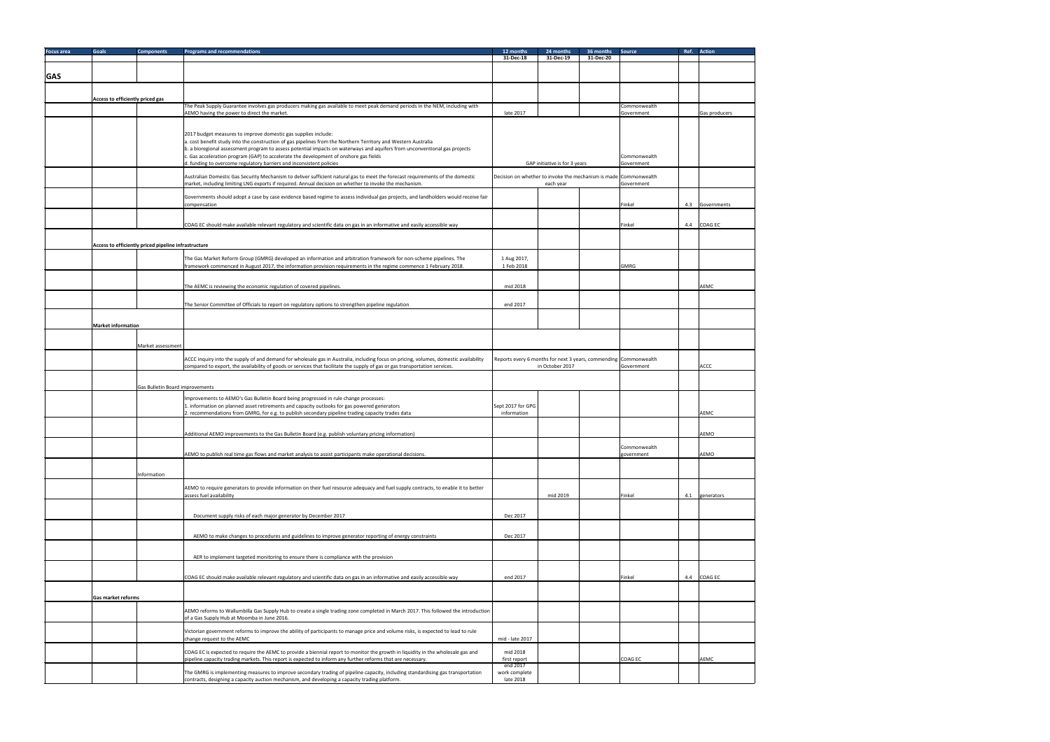| <b>Focus area</b> | <b>Goals</b>                     | <b>Components</b>                                    | <b>Programs and recommendations</b>                                                                                                                                                                                                                                  | 12 months                  | 24 months                     | 36 months<br><b>Source</b>                                                     | Ref. Action     |
|-------------------|----------------------------------|------------------------------------------------------|----------------------------------------------------------------------------------------------------------------------------------------------------------------------------------------------------------------------------------------------------------------------|----------------------------|-------------------------------|--------------------------------------------------------------------------------|-----------------|
|                   |                                  |                                                      |                                                                                                                                                                                                                                                                      | 31-Dec-18                  | 31-Dec-19                     | 31-Dec-20                                                                      |                 |
| <b>GAS</b>        |                                  |                                                      |                                                                                                                                                                                                                                                                      |                            |                               |                                                                                |                 |
|                   |                                  |                                                      |                                                                                                                                                                                                                                                                      |                            |                               |                                                                                |                 |
|                   | Access to efficiently priced gas |                                                      |                                                                                                                                                                                                                                                                      |                            |                               |                                                                                |                 |
|                   |                                  |                                                      | The Peak Supply Guarantee involves gas producers making gas available to meet peak demand periods in the NEM, including with<br>AEMO having the power to direct the market.                                                                                          | late 2017                  |                               | Commonwealth<br>Government                                                     | Gas producers   |
|                   |                                  |                                                      |                                                                                                                                                                                                                                                                      |                            |                               |                                                                                |                 |
|                   |                                  |                                                      | 2017 budget measures to improve domestic gas supplies include:<br>a. cost benefit study into the construction of gas pipelines from the Northern Territory and Western Australia                                                                                     |                            |                               |                                                                                |                 |
|                   |                                  |                                                      | b. a bioregional assessment program to assess potential impacts on waterways and aquifers from unconventional gas projects                                                                                                                                           |                            |                               |                                                                                |                 |
|                   |                                  |                                                      | c. Gas acceleration program (GAP) to accelerate the development of onshore gas fields<br>d. funding to overcome regulatory barriers and inconsistent policies                                                                                                        |                            | GAP initiative is for 3 years | Commonwealth<br>Government                                                     |                 |
|                   |                                  |                                                      | Australian Domestic Gas Security Mechanism to deliver sufficient natural gas to meet the forecast requirements of the domestic<br>market, including limiting LNG exports if required. Annual decision on whether to invoke the mechanism.                            |                            | each year                     | Decision on whether to invoke the mechanism is made Commonwealth<br>Government |                 |
|                   |                                  |                                                      | Governments should adopt a case by case evidence based regime to assess individual gas projects, and landholders would receive fair                                                                                                                                  |                            |                               |                                                                                |                 |
|                   |                                  |                                                      | compensation                                                                                                                                                                                                                                                         |                            |                               | Finkel                                                                         | 4.3 Governments |
|                   |                                  |                                                      | COAG EC should make available relevant regulatory and scientific data on gas in an informative and easily accessible way                                                                                                                                             |                            |                               | Finkel                                                                         | 4.4 COAG EC     |
|                   |                                  |                                                      |                                                                                                                                                                                                                                                                      |                            |                               |                                                                                |                 |
|                   |                                  | Access to efficiently priced pipeline infrastructure |                                                                                                                                                                                                                                                                      |                            |                               |                                                                                |                 |
|                   |                                  |                                                      | The Gas Market Reform Group (GMRG) developed an information and arbitration framework for non-scheme pipelines. The                                                                                                                                                  | 1 Aug 2017,                |                               |                                                                                |                 |
|                   |                                  |                                                      | framework commenced in August 2017, the information provision requirements in the regime commence 1 February 2018.                                                                                                                                                   | 1 Feb 2018                 |                               | GMRG                                                                           |                 |
|                   |                                  |                                                      | The AEMC is reviewing the economic regulation of covered pipelines.                                                                                                                                                                                                  | mid 2018                   |                               |                                                                                | AEMC            |
|                   |                                  |                                                      | The Senior Committee of Officials to report on regulatory options to strengthen pipeline regulation                                                                                                                                                                  | end 2017                   |                               |                                                                                |                 |
|                   |                                  |                                                      |                                                                                                                                                                                                                                                                      |                            |                               |                                                                                |                 |
|                   | <b>Market information</b>        |                                                      |                                                                                                                                                                                                                                                                      |                            |                               |                                                                                |                 |
|                   |                                  |                                                      |                                                                                                                                                                                                                                                                      |                            |                               |                                                                                |                 |
|                   |                                  | Market assessment                                    |                                                                                                                                                                                                                                                                      |                            |                               |                                                                                |                 |
|                   |                                  |                                                      | ACCC inquiry into the supply of and demand for wholesale gas in Australia, including focus on pricing, volumes, domestic availability<br>compared to export, the availability of goods or services that facilitate the supply of gas or gas transportation services. |                            | in October 2017               | Reports every 6 months for next 3 years, commending Commonwealth<br>Government | ACCC            |
|                   |                                  |                                                      |                                                                                                                                                                                                                                                                      |                            |                               |                                                                                |                 |
|                   |                                  | Gas Bulletin Board improvements                      |                                                                                                                                                                                                                                                                      |                            |                               |                                                                                |                 |
|                   |                                  |                                                      | Improvements to AEMO's Gas Bulletin Board being progressed in rule change processes:<br>1. information on planned asset retirements and capacity outlooks for gas powered generators                                                                                 | Sept 2017 for GPG          |                               |                                                                                |                 |
|                   |                                  |                                                      | 2. recommendations from GMRG, for e.g. to publish secondary pipeline trading capacity trades data                                                                                                                                                                    | information                |                               |                                                                                | <b>AEMC</b>     |
|                   |                                  |                                                      |                                                                                                                                                                                                                                                                      |                            |                               |                                                                                |                 |
|                   |                                  |                                                      | Additional AEMO improvements to the Gas Bulletin Board (e.g. publish voluntary pricing information)                                                                                                                                                                  |                            |                               |                                                                                | <b>AEMO</b>     |
|                   |                                  |                                                      | AEMO to publish real time gas flows and market analysis to assist participants make operational decisions.                                                                                                                                                           |                            |                               | Commonwealth<br>government                                                     | <b>AEMO</b>     |
|                   |                                  |                                                      |                                                                                                                                                                                                                                                                      |                            |                               |                                                                                |                 |
|                   |                                  | Information                                          |                                                                                                                                                                                                                                                                      |                            |                               |                                                                                |                 |
|                   |                                  |                                                      | AEMO to require generators to provide information on their fuel resource adequacy and fuel supply contracts, to enable it to better                                                                                                                                  |                            |                               |                                                                                |                 |
|                   |                                  |                                                      | assess fuel availability                                                                                                                                                                                                                                             |                            | mid 2019                      | Finkel                                                                         | 4.1 generators  |
|                   |                                  |                                                      | Document supply risks of each major generator by December 2017                                                                                                                                                                                                       | Dec 2017                   |                               |                                                                                |                 |
|                   |                                  |                                                      |                                                                                                                                                                                                                                                                      |                            |                               |                                                                                |                 |
|                   |                                  |                                                      | AEMO to make changes to procedures and guidelines to improve generator reporting of energy constraints                                                                                                                                                               | Dec 2017                   |                               |                                                                                |                 |
|                   |                                  |                                                      | AER to implement targeted monitoring to ensure there is compliance with the provision                                                                                                                                                                                |                            |                               |                                                                                |                 |
|                   |                                  |                                                      | COAG EC should make available relevant regulatory and scientific data on gas in an informative and easily accessible way                                                                                                                                             | end 2017                   |                               | Finkel                                                                         | 4.4 COAG EC     |
|                   |                                  |                                                      |                                                                                                                                                                                                                                                                      |                            |                               |                                                                                |                 |
|                   | Gas market reforms               |                                                      |                                                                                                                                                                                                                                                                      |                            |                               |                                                                                |                 |
|                   |                                  |                                                      | AEMO reforms to Wallumbilla Gas Supply Hub to create a single trading zone completed in March 2017. This followed the introduction                                                                                                                                   |                            |                               |                                                                                |                 |
|                   |                                  |                                                      | of a Gas Supply Hub at Moomba in June 2016.                                                                                                                                                                                                                          |                            |                               |                                                                                |                 |
|                   |                                  |                                                      | Victorian government reforms to improve the ability of participants to manage price and volume risks, is expected to lead to rule<br>change request to the AEMC                                                                                                      | mid - late 2017            |                               |                                                                                |                 |
|                   |                                  |                                                      | COAG EC is expected to require the AEMC to provide a biennial report to monitor the growth in liquidity in the wholesale gas and                                                                                                                                     | mid 2018                   |                               |                                                                                |                 |
|                   |                                  |                                                      | pipeline capacity trading markets. This report is expected to inform any further reforms that are necessary.                                                                                                                                                         | first report<br>end 2017   |                               | COAG EC                                                                        | <b>AEMC</b>     |
|                   |                                  |                                                      | The GMRG is implementing measures to improve secondary trading of pipeline capacity, including standardising gas transportation<br>contracts, designing a capacity auction mechanism, and developing a capacity trading platform.                                    | work complete<br>late 2018 |                               |                                                                                |                 |
|                   |                                  |                                                      |                                                                                                                                                                                                                                                                      |                            |                               |                                                                                |                 |